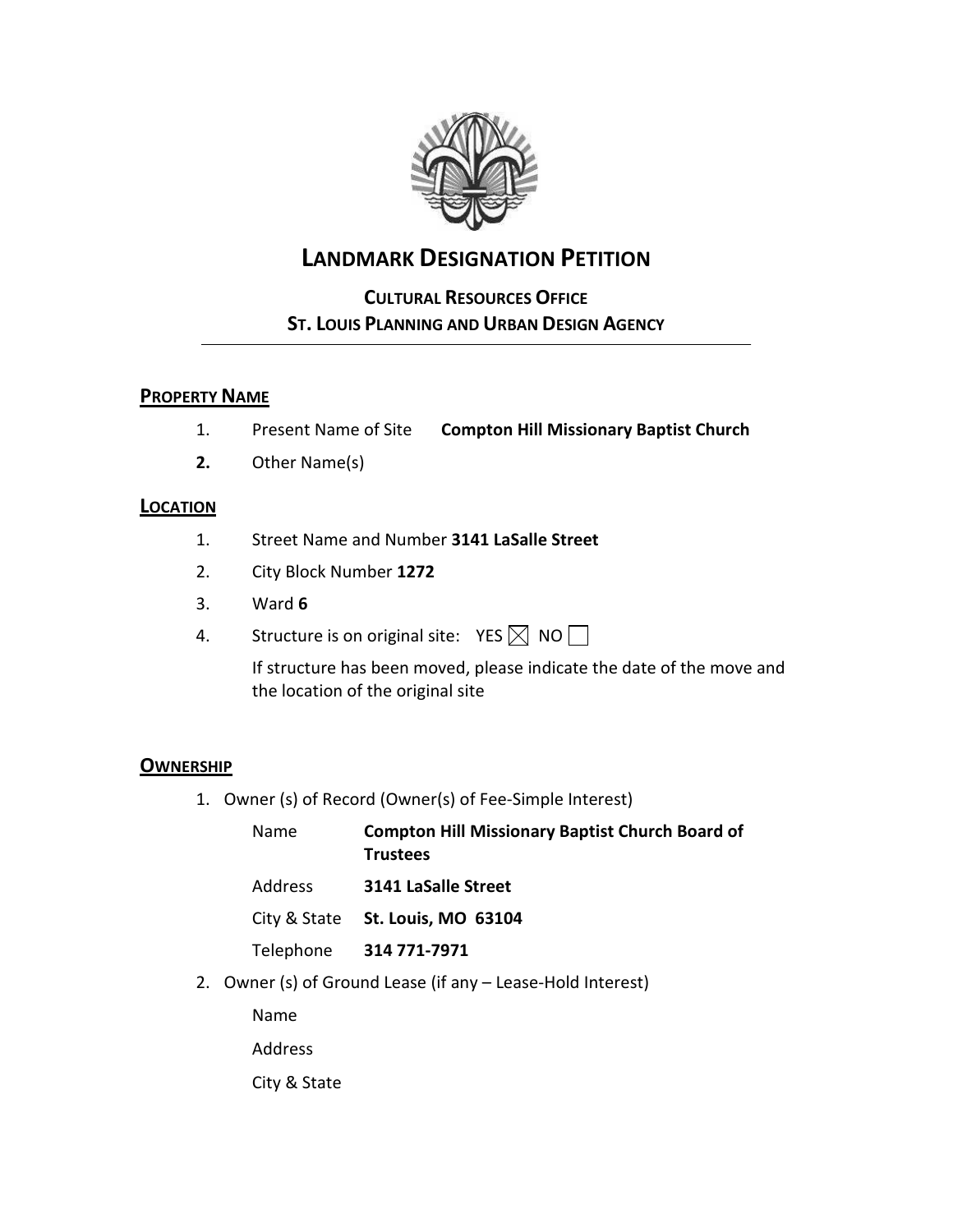

# **LANDMARK DESIGNATION PETITION**

## **CULTURAL RESOURCES OFFICE ST. LOUIS PLANNING AND URBAN DESIGN AGENCY**

## **PROPERTY NAME**

- 1. Present Name of Site **Compton Hill Missionary Baptist Church**
- **2.** Other Name(s)

#### **LOCATION**

- 1. Street Name and Number **3141 LaSalle Street**
- 2. City Block Number **1272**
- 3. Ward **6**
- 4. Structure is on original site: YES  $\times$  NO  $\Box$

If structure has been moved, please indicate the date of the move and the location of the original site

### **OWNERSHIP**

1. Owner (s) of Record (Owner(s) of Fee-Simple Interest)

 Name **Compton Hill Missionary Baptist Church Board of Trustees**

- Address **3141 LaSalle Street**
- City & State **St. Louis, MO 63104**
- Telephone **314 771-7971**
- 2. Owner (s) of Ground Lease (if any Lease-Hold Interest)

Name

Address

City & State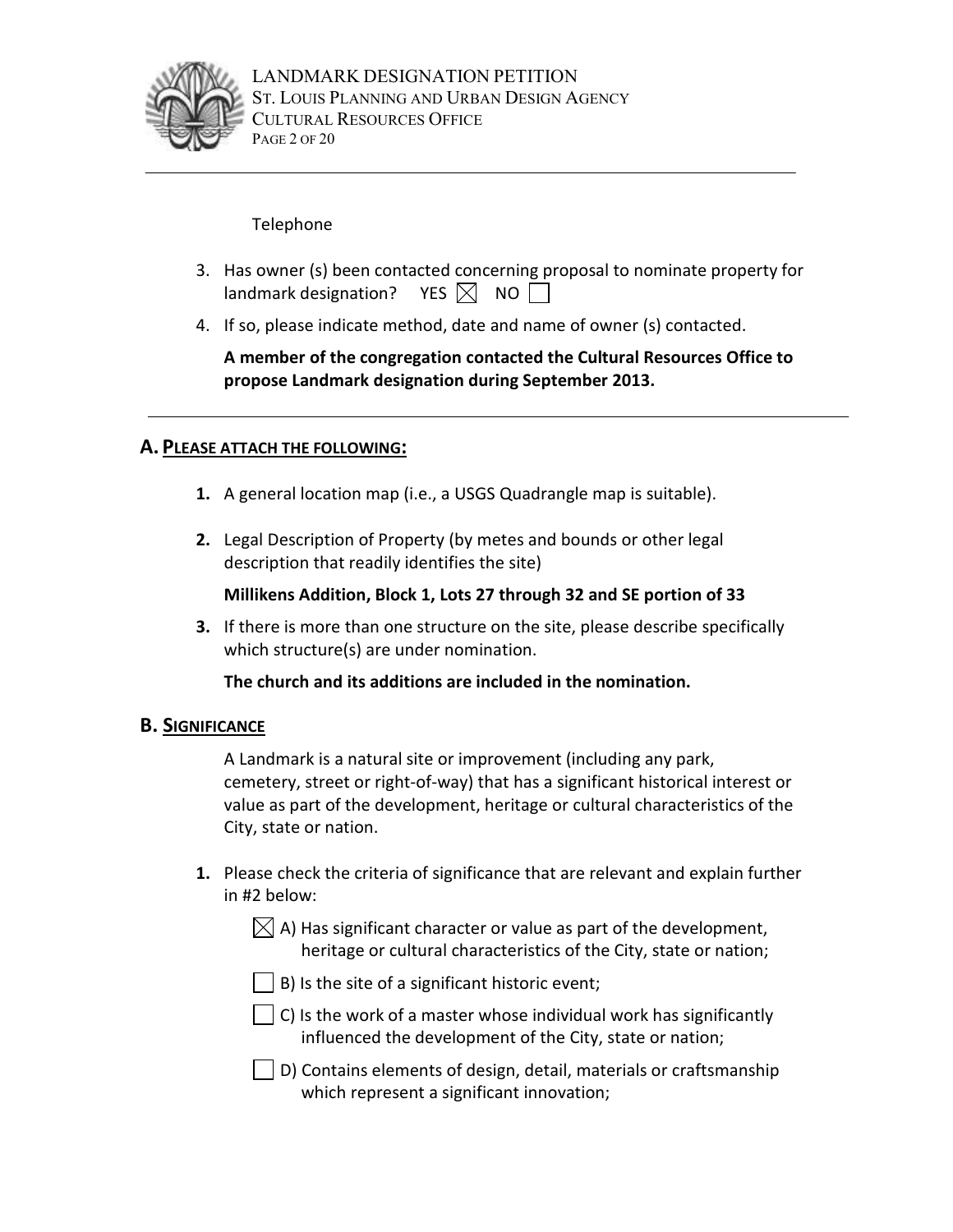

#### Telephone

- 3. Has owner (s) been contacted concerning proposal to nominate property for landmark designation? YES  $\boxtimes$  NO  $\Box$
- 4. If so, please indicate method, date and name of owner (s) contacted.

**A member of the congregation contacted the Cultural Resources Office to propose Landmark designation during September 2013.** 

## **A. PLEASE ATTACH THE FOLLOWING:**

- **1.** A general location map (i.e., a USGS Quadrangle map is suitable).
- **2.** Legal Description of Property (by metes and bounds or other legal description that readily identifies the site)

**Millikens Addition, Block 1, Lots 27 through 32 and SE portion of 33** 

**3.** If there is more than one structure on the site, please describe specifically which structure(s) are under nomination.

**The church and its additions are included in the nomination.** 

### **B. SIGNIFICANCE**

A Landmark is a natural site or improvement (including any park, cemetery, street or right-of-way) that has a significant historical interest or value as part of the development, heritage or cultural characteristics of the City, state or nation.

- **1.** Please check the criteria of significance that are relevant and explain further in #2 below:
	- $\boxtimes$  A) Has significant character or value as part of the development, heritage or cultural characteristics of the City, state or nation;
		- $\vert$  B) Is the site of a significant historic event;
	- $\vert$  C) Is the work of a master whose individual work has significantly influenced the development of the City, state or nation;
	- D) Contains elements of design, detail, materials or craftsmanship which represent a significant innovation;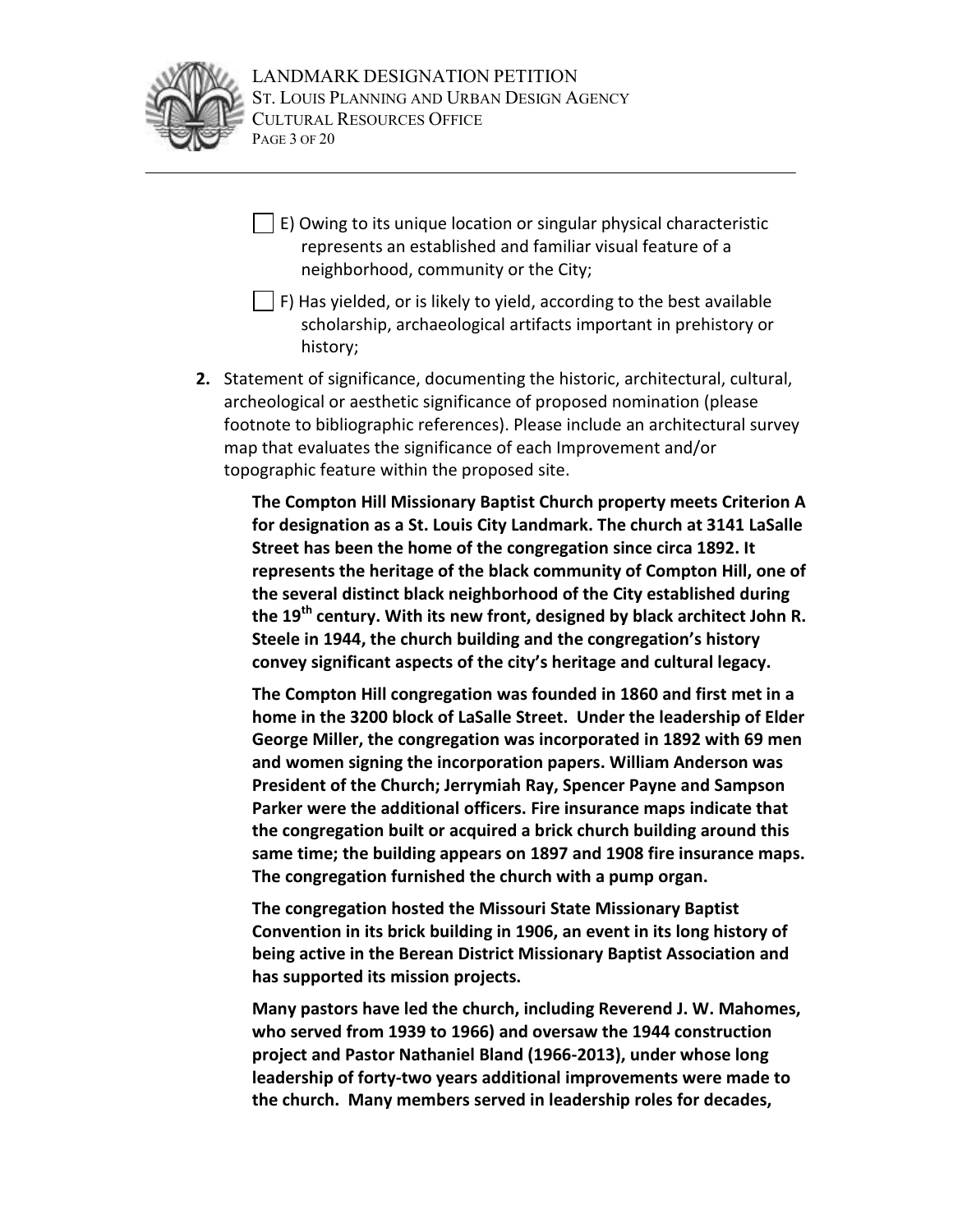

- $\Box$  E) Owing to its unique location or singular physical characteristic represents an established and familiar visual feature of a neighborhood, community or the City;
	- $\Box$  F) Has yielded, or is likely to yield, according to the best available scholarship, archaeological artifacts important in prehistory or history;
- **2.** Statement of significance, documenting the historic, architectural, cultural, archeological or aesthetic significance of proposed nomination (please footnote to bibliographic references). Please include an architectural survey map that evaluates the significance of each Improvement and/or topographic feature within the proposed site.

**The Compton Hill Missionary Baptist Church property meets Criterion A for designation as a St. Louis City Landmark. The church at 3141 LaSalle Street has been the home of the congregation since circa 1892. It represents the heritage of the black community of Compton Hill, one of the several distinct black neighborhood of the City established during the 19th century. With its new front, designed by black architect John R. Steele in 1944, the church building and the congregation's history convey significant aspects of the city's heritage and cultural legacy.** 

**The Compton Hill congregation was founded in 1860 and first met in a home in the 3200 block of LaSalle Street. Under the leadership of Elder George Miller, the congregation was incorporated in 1892 with 69 men and women signing the incorporation papers. William Anderson was President of the Church; Jerrymiah Ray, Spencer Payne and Sampson Parker were the additional officers. Fire insurance maps indicate that the congregation built or acquired a brick church building around this same time; the building appears on 1897 and 1908 fire insurance maps. The congregation furnished the church with a pump organ.** 

**The congregation hosted the Missouri State Missionary Baptist Convention in its brick building in 1906, an event in its long history of being active in the Berean District Missionary Baptist Association and has supported its mission projects.** 

**Many pastors have led the church, including Reverend J. W. Mahomes, who served from 1939 to 1966) and oversaw the 1944 construction project and Pastor Nathaniel Bland (1966-2013), under whose long leadership of forty-two years additional improvements were made to the church. Many members served in leadership roles for decades,**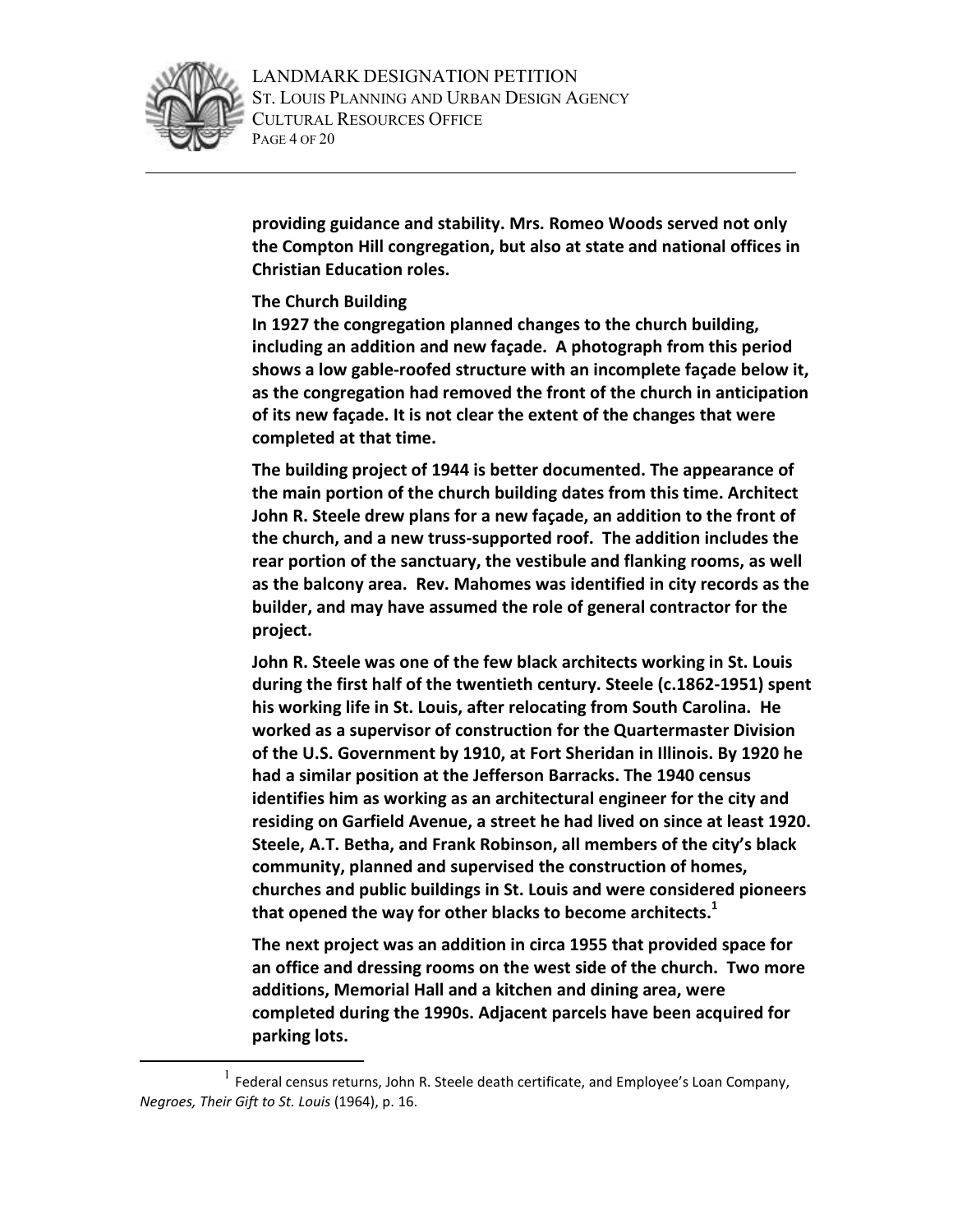

 $\overline{a}$ 

**providing guidance and stability. Mrs. Romeo Woods served not only the Compton Hill congregation, but also at state and national offices in Christian Education roles.** 

#### **The Church Building**

**In 1927 the congregation planned changes to the church building, including an addition and new façade. A photograph from this period shows a low gable-roofed structure with an incomplete façade below it, as the congregation had removed the front of the church in anticipation of its new façade. It is not clear the extent of the changes that were completed at that time.** 

**The building project of 1944 is better documented. The appearance of the main portion of the church building dates from this time. Architect John R. Steele drew plans for a new façade, an addition to the front of the church, and a new truss-supported roof. The addition includes the rear portion of the sanctuary, the vestibule and flanking rooms, as well as the balcony area. Rev. Mahomes was identified in city records as the builder, and may have assumed the role of general contractor for the project.** 

**John R. Steele was one of the few black architects working in St. Louis during the first half of the twentieth century. Steele (c.1862-1951) spent his working life in St. Louis, after relocating from South Carolina. He worked as a supervisor of construction for the Quartermaster Division of the U.S. Government by 1910, at Fort Sheridan in Illinois. By 1920 he had a similar position at the Jefferson Barracks. The 1940 census identifies him as working as an architectural engineer for the city and residing on Garfield Avenue, a street he had lived on since at least 1920. Steele, A.T. Betha, and Frank Robinson, all members of the city's black community, planned and supervised the construction of homes, churches and public buildings in St. Louis and were considered pioneers that opened the way for other blacks to become architects.<sup>1</sup>**

**The next project was an addition in circa 1955 that provided space for an office and dressing rooms on the west side of the church. Two more additions, Memorial Hall and a kitchen and dining area, were completed during the 1990s. Adjacent parcels have been acquired for parking lots.** 

 $<sup>1</sup>$  Federal census returns, John R. Steele death certificate, and Employee's Loan Company,</sup> *Negroes, Their Gift to St. Louis* (1964), p. 16.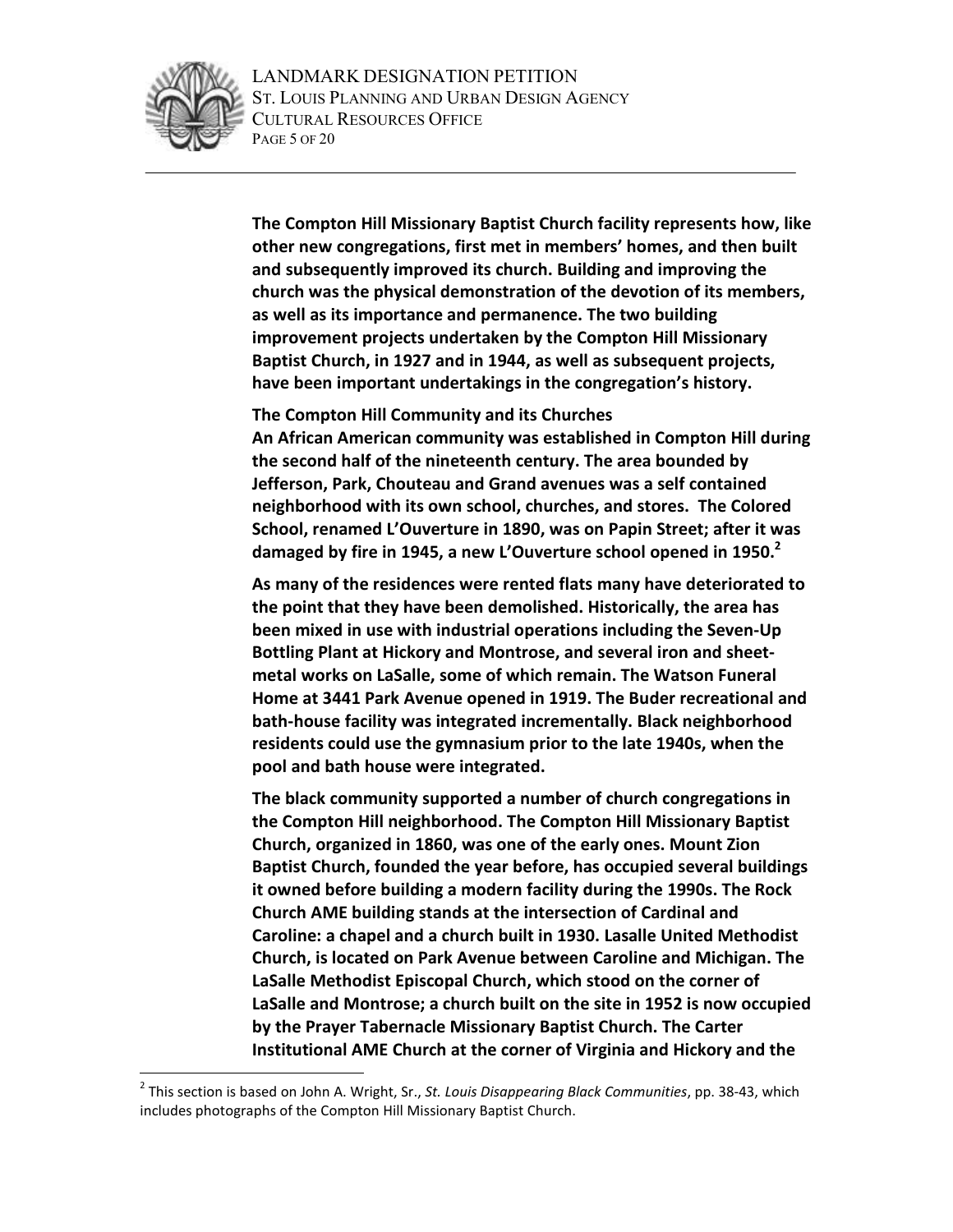

 $\overline{a}$ 

**The Compton Hill Missionary Baptist Church facility represents how, like other new congregations, first met in members' homes, and then built and subsequently improved its church. Building and improving the church was the physical demonstration of the devotion of its members, as well as its importance and permanence. The two building improvement projects undertaken by the Compton Hill Missionary Baptist Church, in 1927 and in 1944, as well as subsequent projects, have been important undertakings in the congregation's history.** 

**The Compton Hill Community and its Churches An African American community was established in Compton Hill during the second half of the nineteenth century. The area bounded by Jefferson, Park, Chouteau and Grand avenues was a self contained neighborhood with its own school, churches, and stores. The Colored School, renamed L'Ouverture in 1890, was on Papin Street; after it was damaged by fire in 1945, a new L'Ouverture school opened in 1950.<sup>2</sup>** 

**As many of the residences were rented flats many have deteriorated to the point that they have been demolished. Historically, the area has been mixed in use with industrial operations including the Seven-Up Bottling Plant at Hickory and Montrose, and several iron and sheetmetal works on LaSalle, some of which remain. The Watson Funeral Home at 3441 Park Avenue opened in 1919. The Buder recreational and bath-house facility was integrated incrementally. Black neighborhood residents could use the gymnasium prior to the late 1940s, when the pool and bath house were integrated.** 

**The black community supported a number of church congregations in the Compton Hill neighborhood. The Compton Hill Missionary Baptist Church, organized in 1860, was one of the early ones. Mount Zion Baptist Church, founded the year before, has occupied several buildings it owned before building a modern facility during the 1990s. The Rock Church AME building stands at the intersection of Cardinal and Caroline: a chapel and a church built in 1930. Lasalle United Methodist Church, is located on Park Avenue between Caroline and Michigan. The LaSalle Methodist Episcopal Church, which stood on the corner of LaSalle and Montrose; a church built on the site in 1952 is now occupied by the Prayer Tabernacle Missionary Baptist Church. The Carter Institutional AME Church at the corner of Virginia and Hickory and the** 

<sup>2</sup> This section is based on John A. Wright, Sr., *St. Louis Disappearing Black Communities*, pp. 38-43, which includes photographs of the Compton Hill Missionary Baptist Church.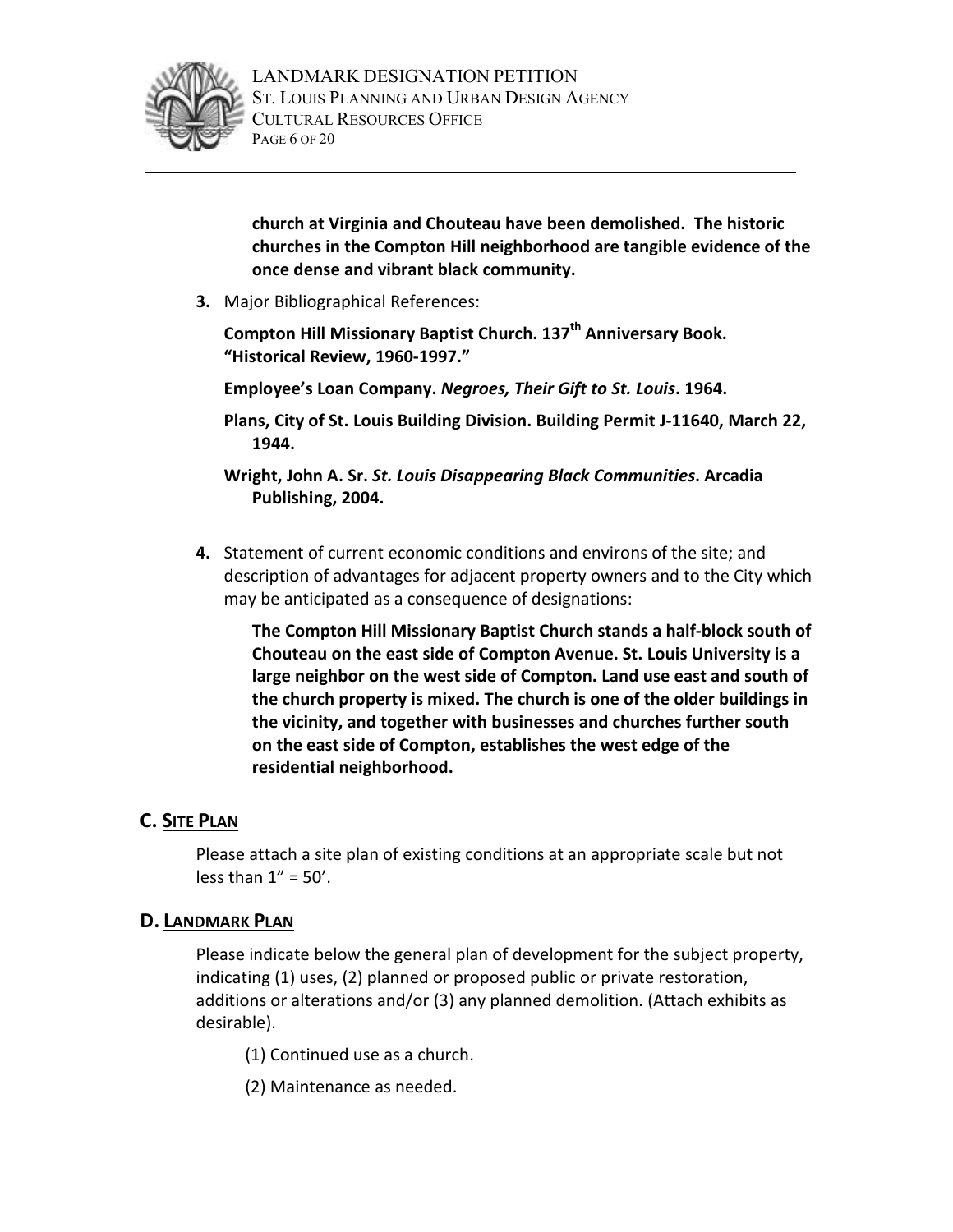

**church at Virginia and Chouteau have been demolished. The historic churches in the Compton Hill neighborhood are tangible evidence of the once dense and vibrant black community.** 

**3.** Major Bibliographical References:

**Compton Hill Missionary Baptist Church. 137th Anniversary Book. "Historical Review, 1960-1997."** 

**Employee's Loan Company.** *Negroes, Their Gift to St. Louis***. 1964.** 

**Plans, City of St. Louis Building Division. Building Permit J-11640, March 22, 1944.** 

**Wright, John A. Sr.** *St. Louis Disappearing Black Communities***. Arcadia Publishing, 2004.** 

**4.** Statement of current economic conditions and environs of the site; and description of advantages for adjacent property owners and to the City which may be anticipated as a consequence of designations:

**The Compton Hill Missionary Baptist Church stands a half-block south of Chouteau on the east side of Compton Avenue. St. Louis University is a large neighbor on the west side of Compton. Land use east and south of the church property is mixed. The church is one of the older buildings in the vicinity, and together with businesses and churches further south on the east side of Compton, establishes the west edge of the residential neighborhood.** 

## **C. SITE PLAN**

 Please attach a site plan of existing conditions at an appropriate scale but not less than  $1'' = 50'$ .

### **D. LANDMARK PLAN**

Please indicate below the general plan of development for the subject property, indicating (1) uses, (2) planned or proposed public or private restoration, additions or alterations and/or (3) any planned demolition. (Attach exhibits as desirable).

(1) Continued use as a church.

(2) Maintenance as needed.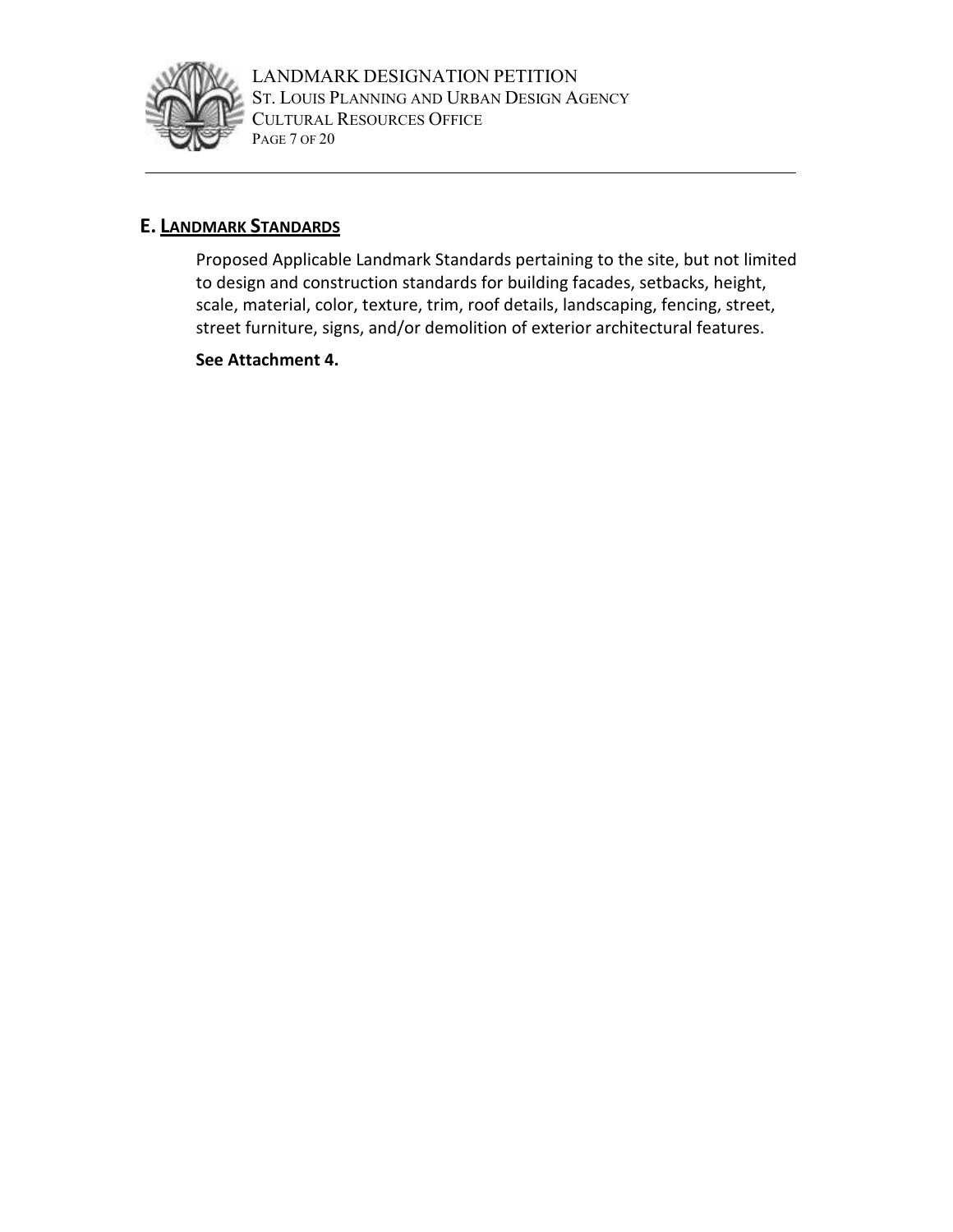

## **E. LANDMARK STANDARDS**

Proposed Applicable Landmark Standards pertaining to the site, but not limited to design and construction standards for building facades, setbacks, height, scale, material, color, texture, trim, roof details, landscaping, fencing, street, street furniture, signs, and/or demolition of exterior architectural features.

**See Attachment 4.**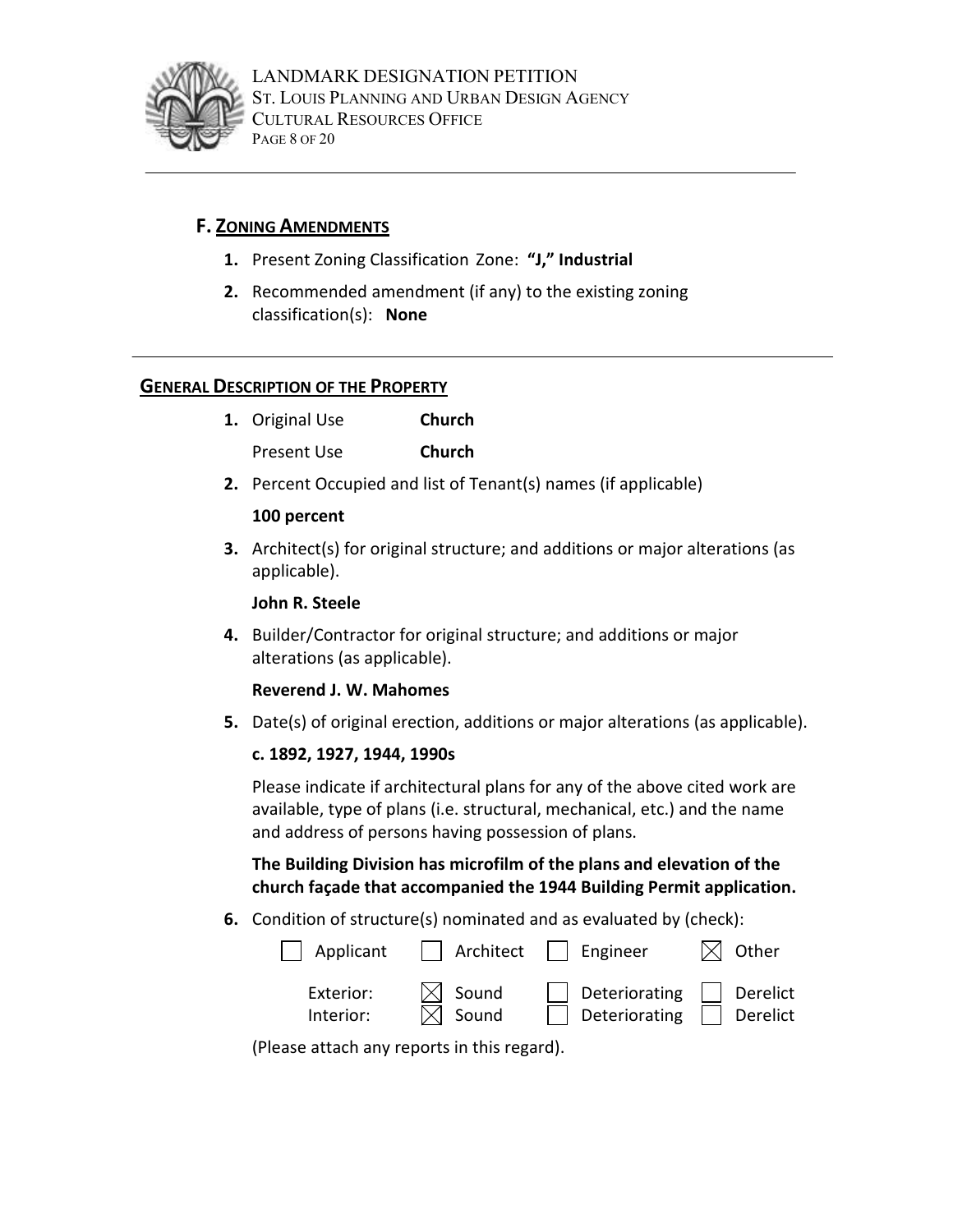

## **F. ZONING AMENDMENTS**

- **1.** Present Zoning Classification Zone: **"J," Industrial**
- **2.** Recommended amendment (if any) to the existing zoning classification(s): **None**

#### **GENERAL DESCRIPTION OF THE PROPERTY**

- **1.** Original Use **Church**  Present Use **Church**
- **2.** Percent Occupied and list of Tenant(s) names (if applicable)

#### **100 percent**

**3.** Architect(s) for original structure; and additions or major alterations (as applicable).

#### **John R. Steele**

**4.** Builder/Contractor for original structure; and additions or major alterations (as applicable).

#### **Reverend J. W. Mahomes**

**5.** Date(s) of original erection, additions or major alterations (as applicable).

#### **c. 1892, 1927, 1944, 1990s**

Please indicate if architectural plans for any of the above cited work are available, type of plans (i.e. structural, mechanical, etc.) and the name and address of persons having possession of plans.

#### **The Building Division has microfilm of the plans and elevation of the church façade that accompanied the 1944 Building Permit application.**

**6.** Condition of structure(s) nominated and as evaluated by (check):



(Please attach any reports in this regard).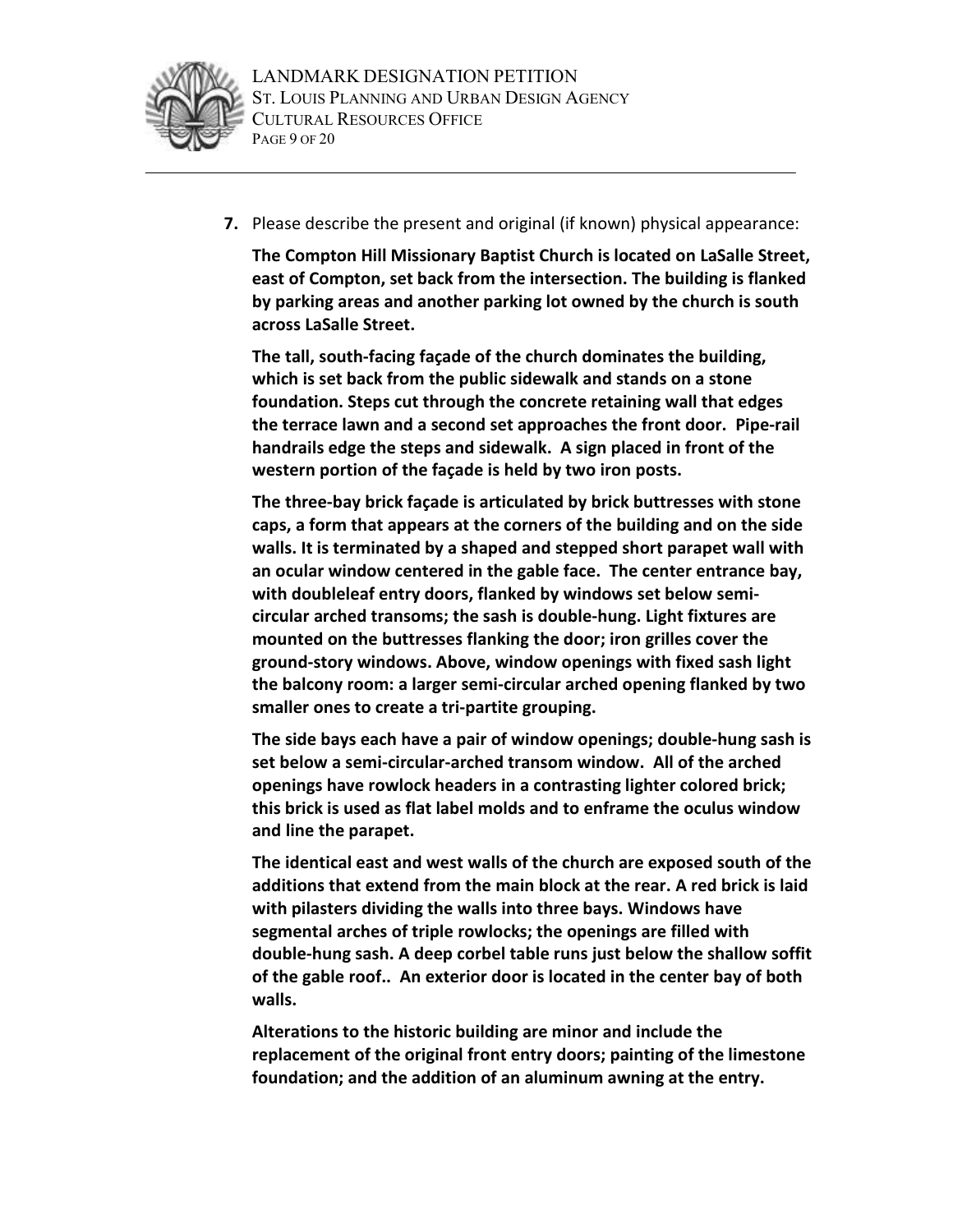

**7.** Please describe the present and original (if known) physical appearance:

**The Compton Hill Missionary Baptist Church is located on LaSalle Street, east of Compton, set back from the intersection. The building is flanked by parking areas and another parking lot owned by the church is south across LaSalle Street.** 

**The tall, south-facing façade of the church dominates the building, which is set back from the public sidewalk and stands on a stone foundation. Steps cut through the concrete retaining wall that edges the terrace lawn and a second set approaches the front door. Pipe-rail handrails edge the steps and sidewalk. A sign placed in front of the western portion of the façade is held by two iron posts.** 

**The three-bay brick façade is articulated by brick buttresses with stone caps, a form that appears at the corners of the building and on the side walls. It is terminated by a shaped and stepped short parapet wall with an ocular window centered in the gable face. The center entrance bay, with doubleleaf entry doors, flanked by windows set below semicircular arched transoms; the sash is double-hung. Light fixtures are mounted on the buttresses flanking the door; iron grilles cover the ground-story windows. Above, window openings with fixed sash light the balcony room: a larger semi-circular arched opening flanked by two smaller ones to create a tri-partite grouping.** 

**The side bays each have a pair of window openings; double-hung sash is set below a semi-circular-arched transom window. All of the arched openings have rowlock headers in a contrasting lighter colored brick; this brick is used as flat label molds and to enframe the oculus window and line the parapet.** 

**The identical east and west walls of the church are exposed south of the additions that extend from the main block at the rear. A red brick is laid with pilasters dividing the walls into three bays. Windows have segmental arches of triple rowlocks; the openings are filled with double-hung sash. A deep corbel table runs just below the shallow soffit of the gable roof.. An exterior door is located in the center bay of both walls.** 

**Alterations to the historic building are minor and include the replacement of the original front entry doors; painting of the limestone foundation; and the addition of an aluminum awning at the entry.**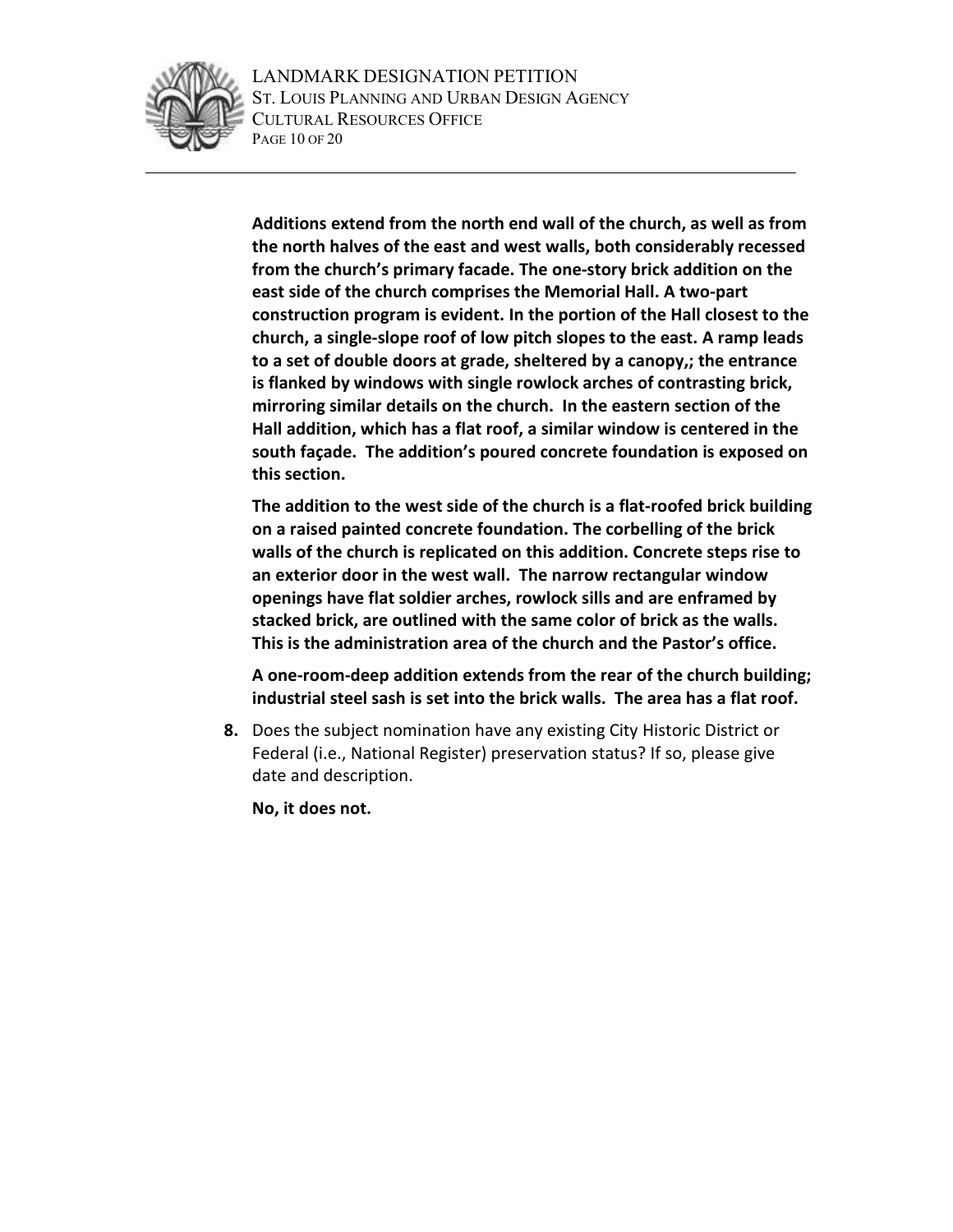

**Additions extend from the north end wall of the church, as well as from the north halves of the east and west walls, both considerably recessed from the church's primary facade. The one-story brick addition on the east side of the church comprises the Memorial Hall. A two-part construction program is evident. In the portion of the Hall closest to the church, a single-slope roof of low pitch slopes to the east. A ramp leads to a set of double doors at grade, sheltered by a canopy,; the entrance is flanked by windows with single rowlock arches of contrasting brick, mirroring similar details on the church. In the eastern section of the Hall addition, which has a flat roof, a similar window is centered in the south façade. The addition's poured concrete foundation is exposed on this section.** 

**The addition to the west side of the church is a flat-roofed brick building on a raised painted concrete foundation. The corbelling of the brick walls of the church is replicated on this addition. Concrete steps rise to an exterior door in the west wall. The narrow rectangular window openings have flat soldier arches, rowlock sills and are enframed by stacked brick, are outlined with the same color of brick as the walls. This is the administration area of the church and the Pastor's office.** 

**A one-room-deep addition extends from the rear of the church building; industrial steel sash is set into the brick walls. The area has a flat roof.** 

**8.** Does the subject nomination have any existing City Historic District or Federal (i.e., National Register) preservation status? If so, please give date and description.

**No, it does not.**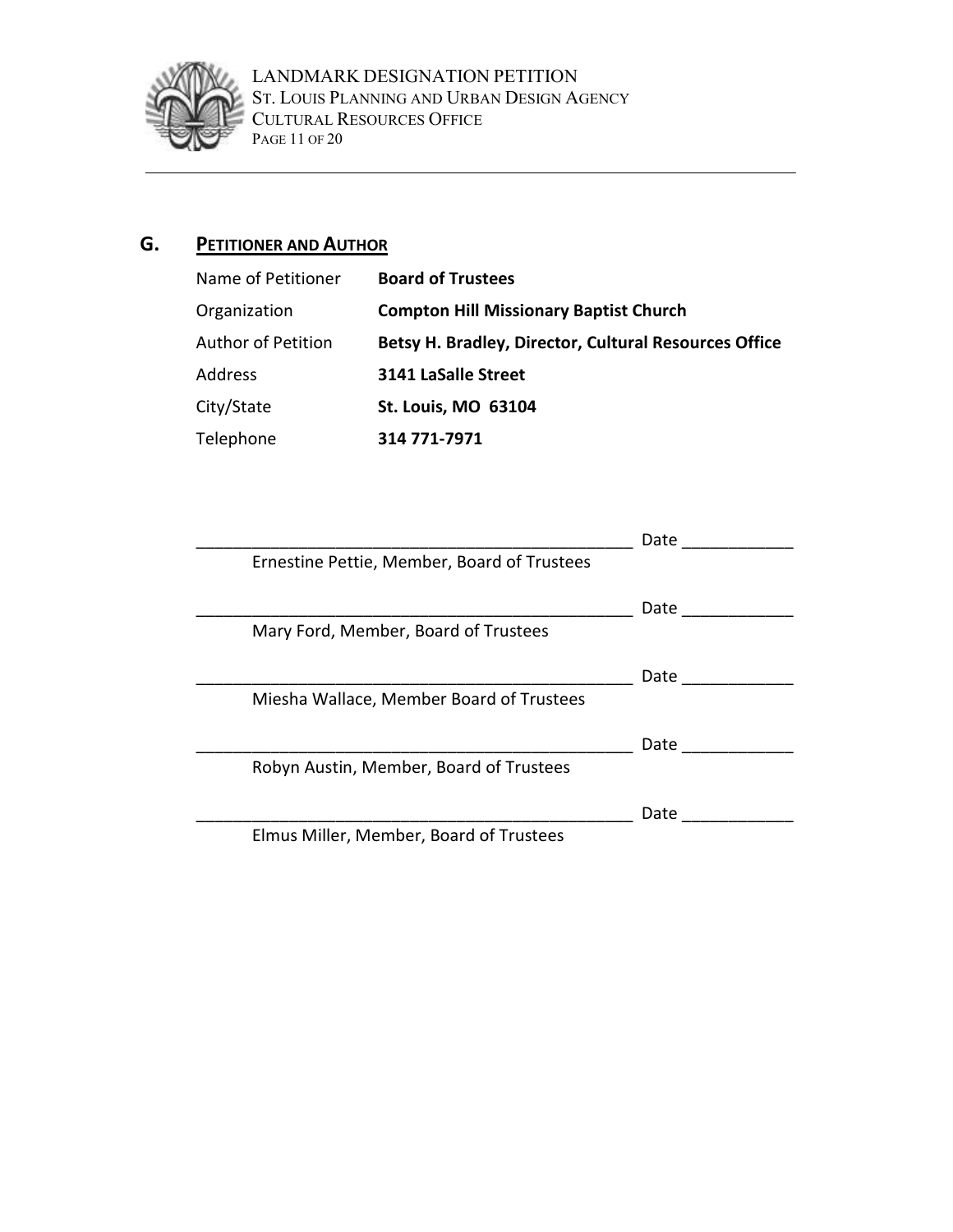

## **G. PETITIONER AND AUTHOR**

| Name of Petitioner | <b>Board of Trustees</b>                              |
|--------------------|-------------------------------------------------------|
| Organization       | <b>Compton Hill Missionary Baptist Church</b>         |
| Author of Petition | Betsy H. Bradley, Director, Cultural Resources Office |
| Address            | 3141 LaSalle Street                                   |
| City/State         | <b>St. Louis, MO 63104</b>                            |
| Telephone          | 314 771-7971                                          |

|                                             | Date |
|---------------------------------------------|------|
| Ernestine Pettie, Member, Board of Trustees |      |
|                                             | Date |
| Mary Ford, Member, Board of Trustees        |      |
|                                             | Date |
| Miesha Wallace, Member Board of Trustees    |      |
|                                             | Date |
| Robyn Austin, Member, Board of Trustees     |      |
|                                             | Date |
| Elmus Miller, Member, Board of Trustees     |      |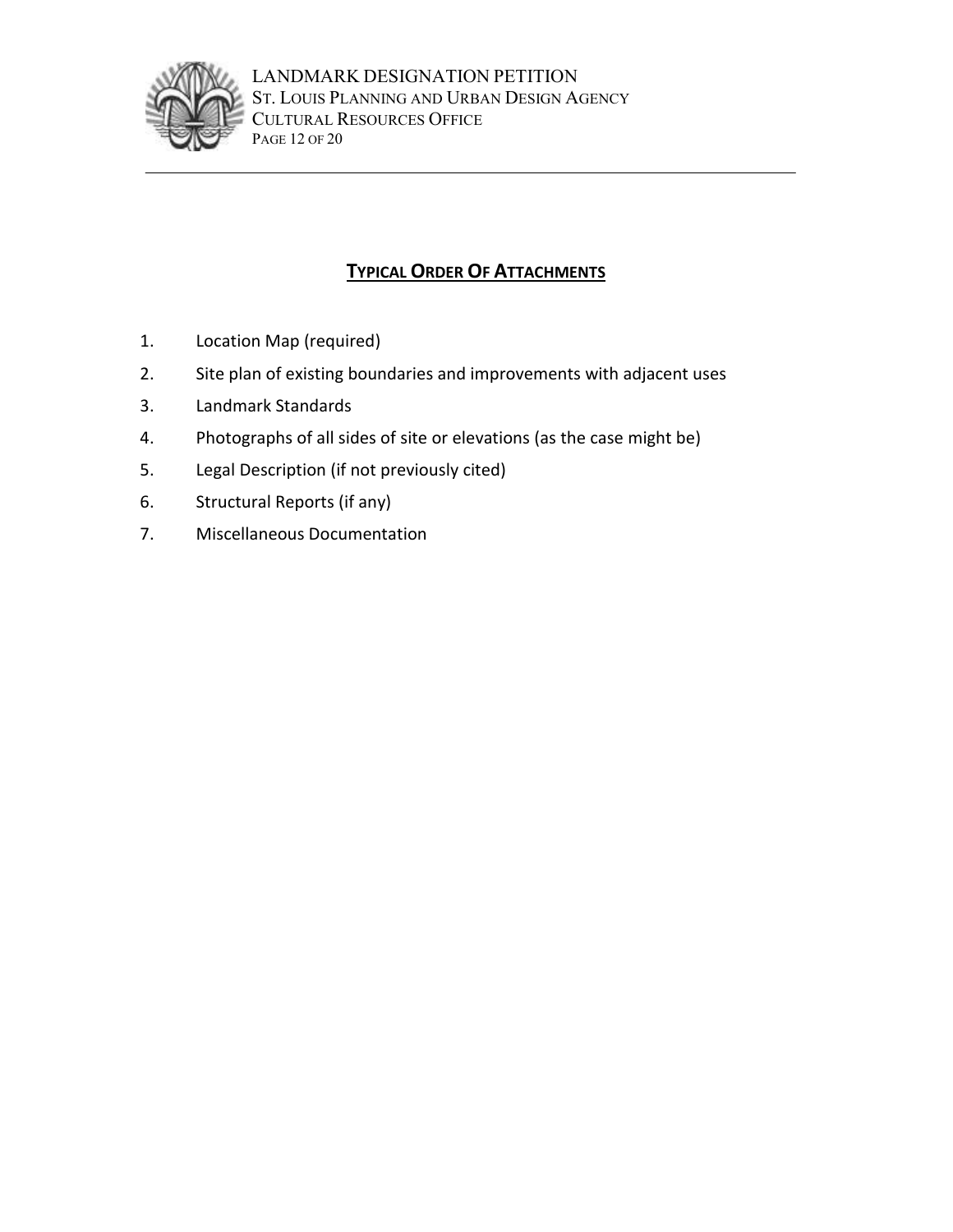

## **TYPICAL ORDER OF ATTACHMENTS**

- 1. Location Map (required)
- 2. Site plan of existing boundaries and improvements with adjacent uses
- 3. Landmark Standards
- 4. Photographs of all sides of site or elevations (as the case might be)
- 5. Legal Description (if not previously cited)
- 6. Structural Reports (if any)
- 7. Miscellaneous Documentation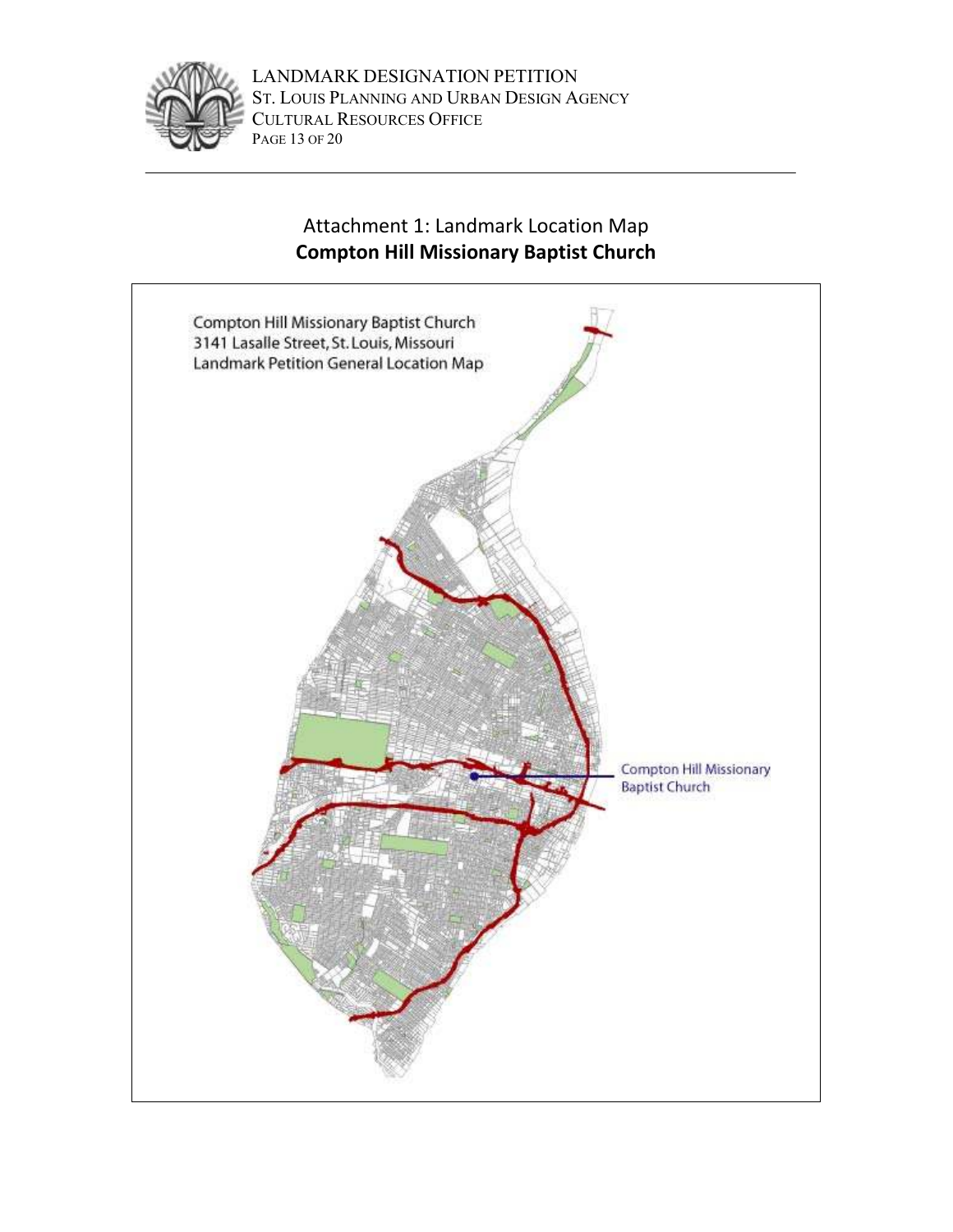

 LANDMARK DESIGNATION PETITION ST. LOUIS PLANNING AND URBAN DESIGN AGENCY CULTURAL RESOURCES OFFICE PAGE 13 OF 20

# Attachment 1: Landmark Location Map **Compton Hill Missionary Baptist Church**

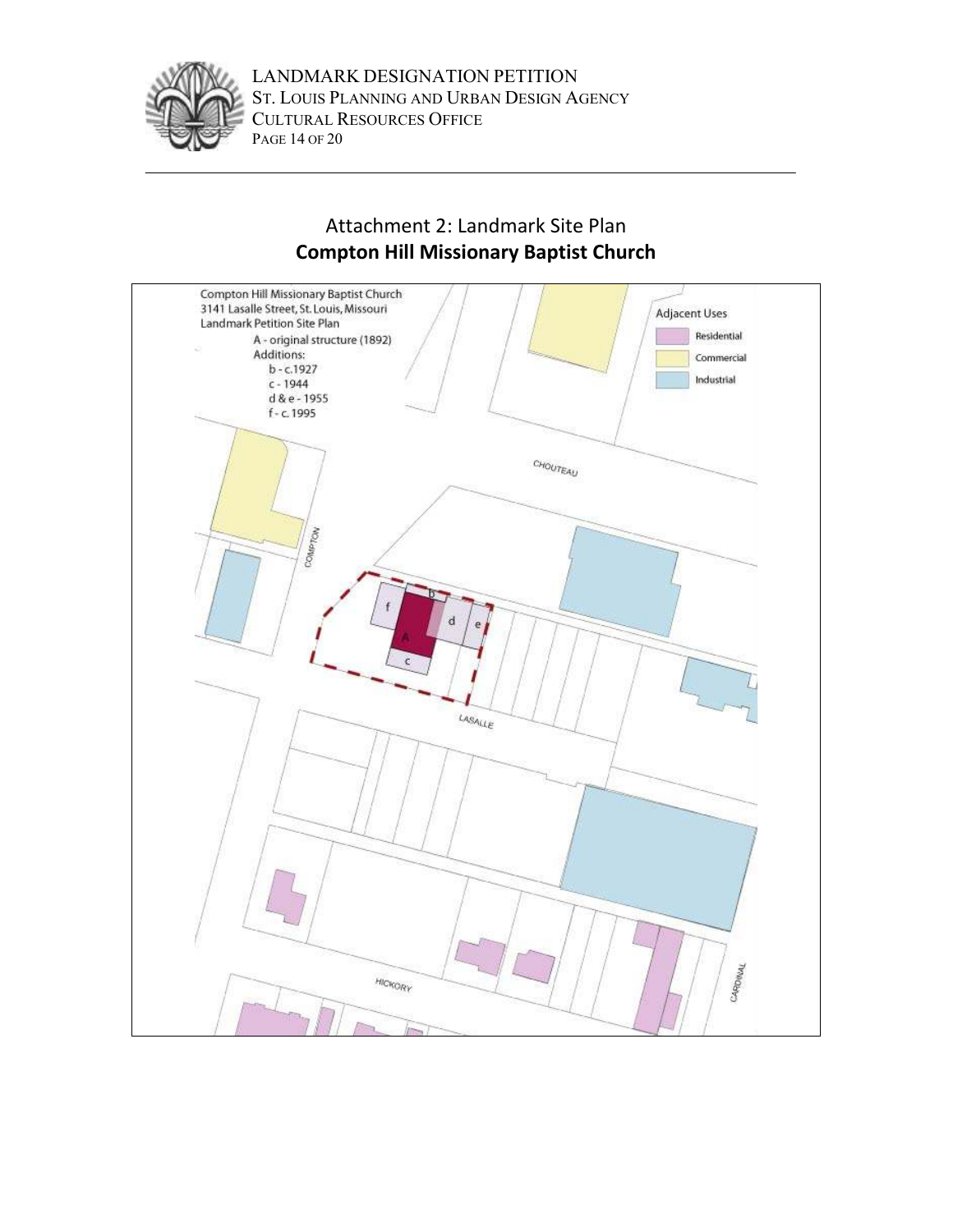

 LANDMARK DESIGNATION PETITION ST. LOUIS PLANNING AND URBAN DESIGN AGENCY CULTURAL RESOURCES OFFICE PAGE 14 OF 20

# Attachment 2: Landmark Site Plan **Compton Hill Missionary Baptist Church**

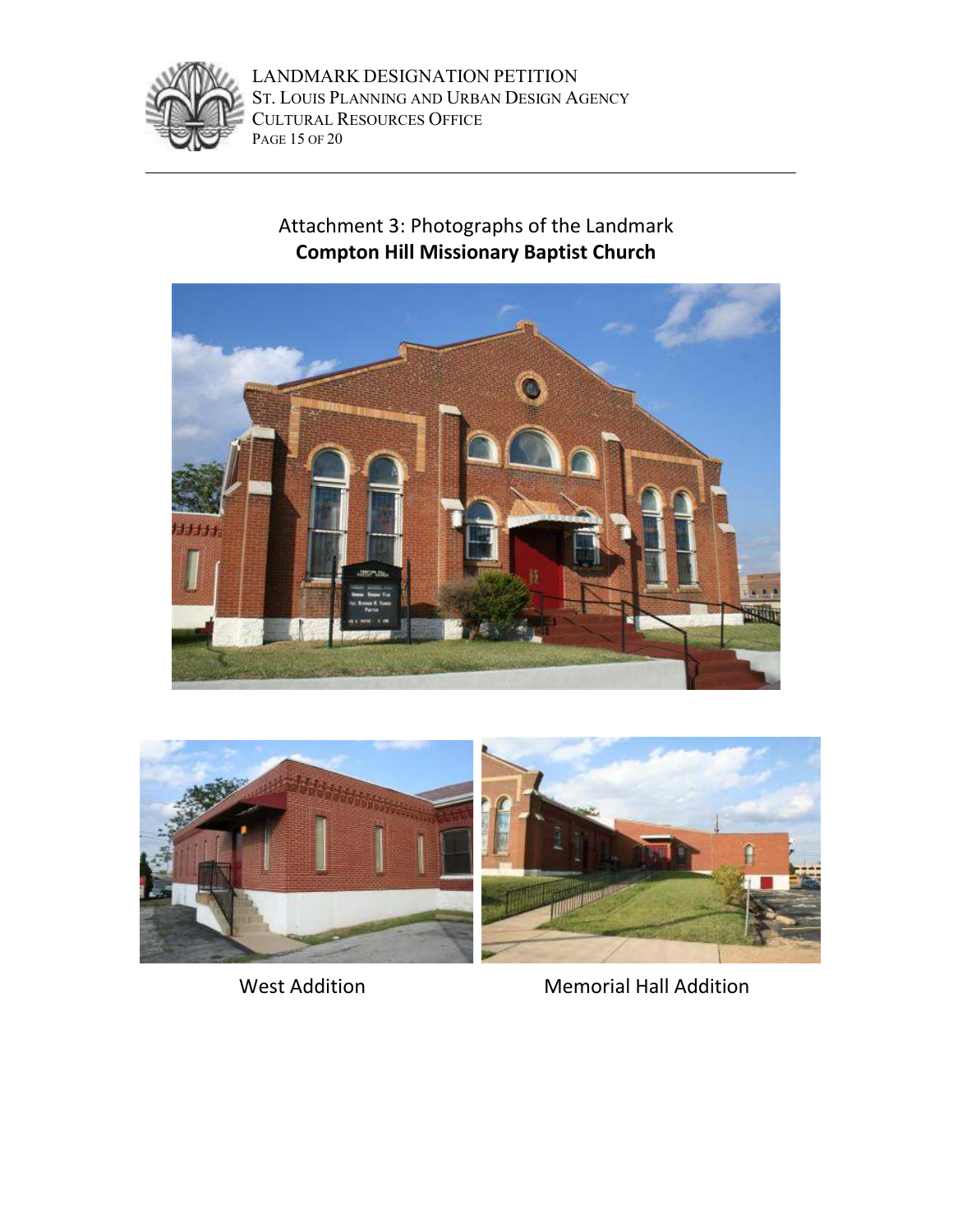

 LANDMARK DESIGNATION PETITION ST. LOUIS PLANNING AND URBAN DESIGN AGENCY CULTURAL RESOURCES OFFICE PAGE 15 OF 20

# Attachment 3: Photographs of the Landmark **Compton Hill Missionary Baptist Church**





West Addition Memorial Hall Addition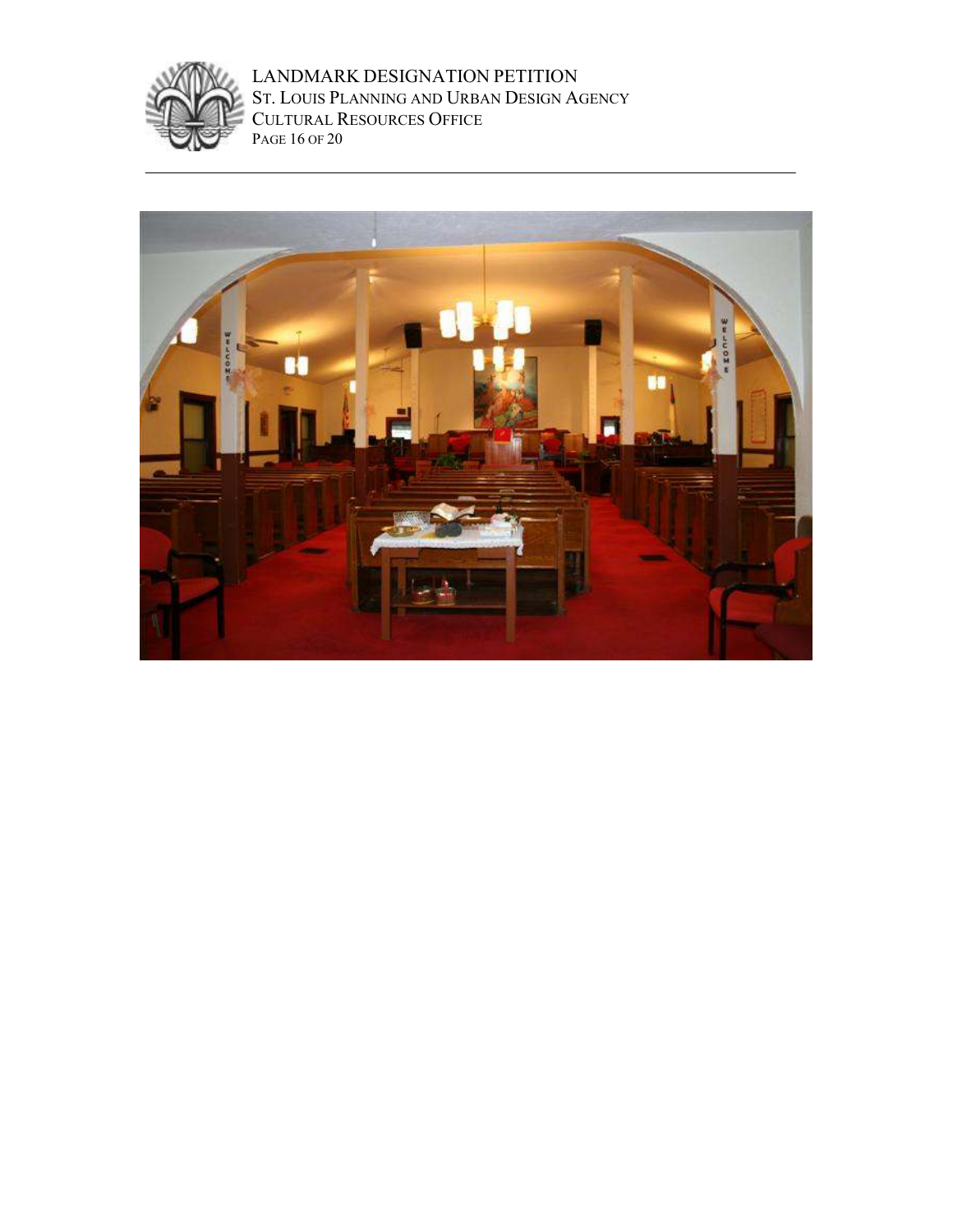

 LANDMARK DESIGNATION PETITION ST. LOUIS PLANNING AND URBAN DESIGN AGENCY **CULTURAL RESOURCES OFFICE** PAGE 16 OF 20

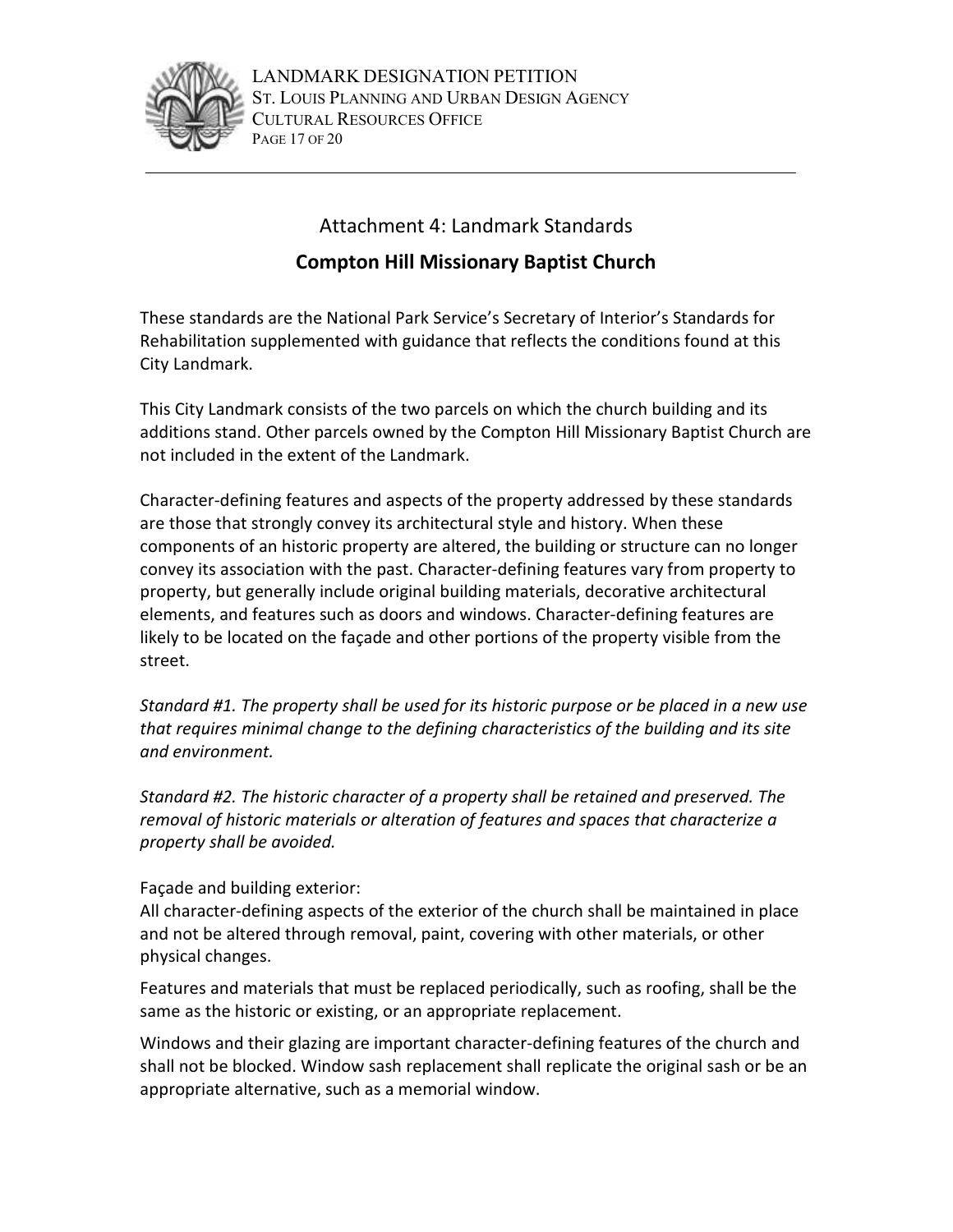

## Attachment 4: Landmark Standards

## **Compton Hill Missionary Baptist Church**

These standards are the National Park Service's Secretary of Interior's Standards for Rehabilitation supplemented with guidance that reflects the conditions found at this City Landmark.

This City Landmark consists of the two parcels on which the church building and its additions stand. Other parcels owned by the Compton Hill Missionary Baptist Church are not included in the extent of the Landmark.

Character-defining features and aspects of the property addressed by these standards are those that strongly convey its architectural style and history. When these components of an historic property are altered, the building or structure can no longer convey its association with the past. Character-defining features vary from property to property, but generally include original building materials, decorative architectural elements, and features such as doors and windows. Character-defining features are likely to be located on the façade and other portions of the property visible from the street.

*Standard #1. The property shall be used for its historic purpose or be placed in a new use that requires minimal change to the defining characteristics of the building and its site and environment.* 

*Standard #2. The historic character of a property shall be retained and preserved. The removal of historic materials or alteration of features and spaces that characterize a property shall be avoided.* 

Façade and building exterior:

All character-defining aspects of the exterior of the church shall be maintained in place and not be altered through removal, paint, covering with other materials, or other physical changes.

Features and materials that must be replaced periodically, such as roofing, shall be the same as the historic or existing, or an appropriate replacement.

Windows and their glazing are important character-defining features of the church and shall not be blocked. Window sash replacement shall replicate the original sash or be an appropriate alternative, such as a memorial window.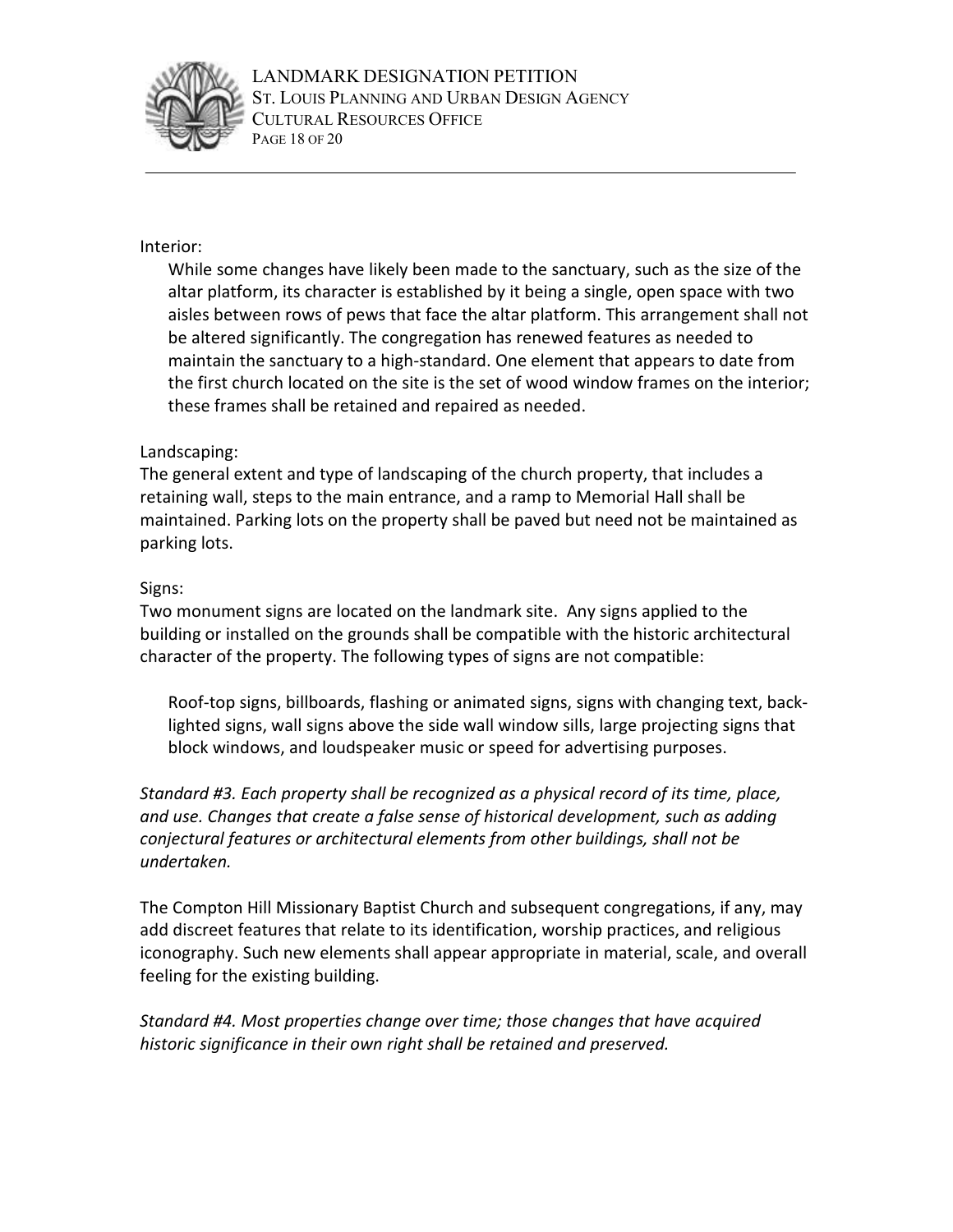

#### Interior:

While some changes have likely been made to the sanctuary, such as the size of the altar platform, its character is established by it being a single, open space with two aisles between rows of pews that face the altar platform. This arrangement shall not be altered significantly. The congregation has renewed features as needed to maintain the sanctuary to a high-standard. One element that appears to date from the first church located on the site is the set of wood window frames on the interior; these frames shall be retained and repaired as needed.

### Landscaping:

The general extent and type of landscaping of the church property, that includes a retaining wall, steps to the main entrance, and a ramp to Memorial Hall shall be maintained. Parking lots on the property shall be paved but need not be maintained as parking lots.

#### Signs:

Two monument signs are located on the landmark site. Any signs applied to the building or installed on the grounds shall be compatible with the historic architectural character of the property. The following types of signs are not compatible:

Roof-top signs, billboards, flashing or animated signs, signs with changing text, backlighted signs, wall signs above the side wall window sills, large projecting signs that block windows, and loudspeaker music or speed for advertising purposes.

*Standard #3. Each property shall be recognized as a physical record of its time, place, and use. Changes that create a false sense of historical development, such as adding conjectural features or architectural elements from other buildings, shall not be undertaken.* 

The Compton Hill Missionary Baptist Church and subsequent congregations, if any, may add discreet features that relate to its identification, worship practices, and religious iconography. Such new elements shall appear appropriate in material, scale, and overall feeling for the existing building.

*Standard #4. Most properties change over time; those changes that have acquired historic significance in their own right shall be retained and preserved.*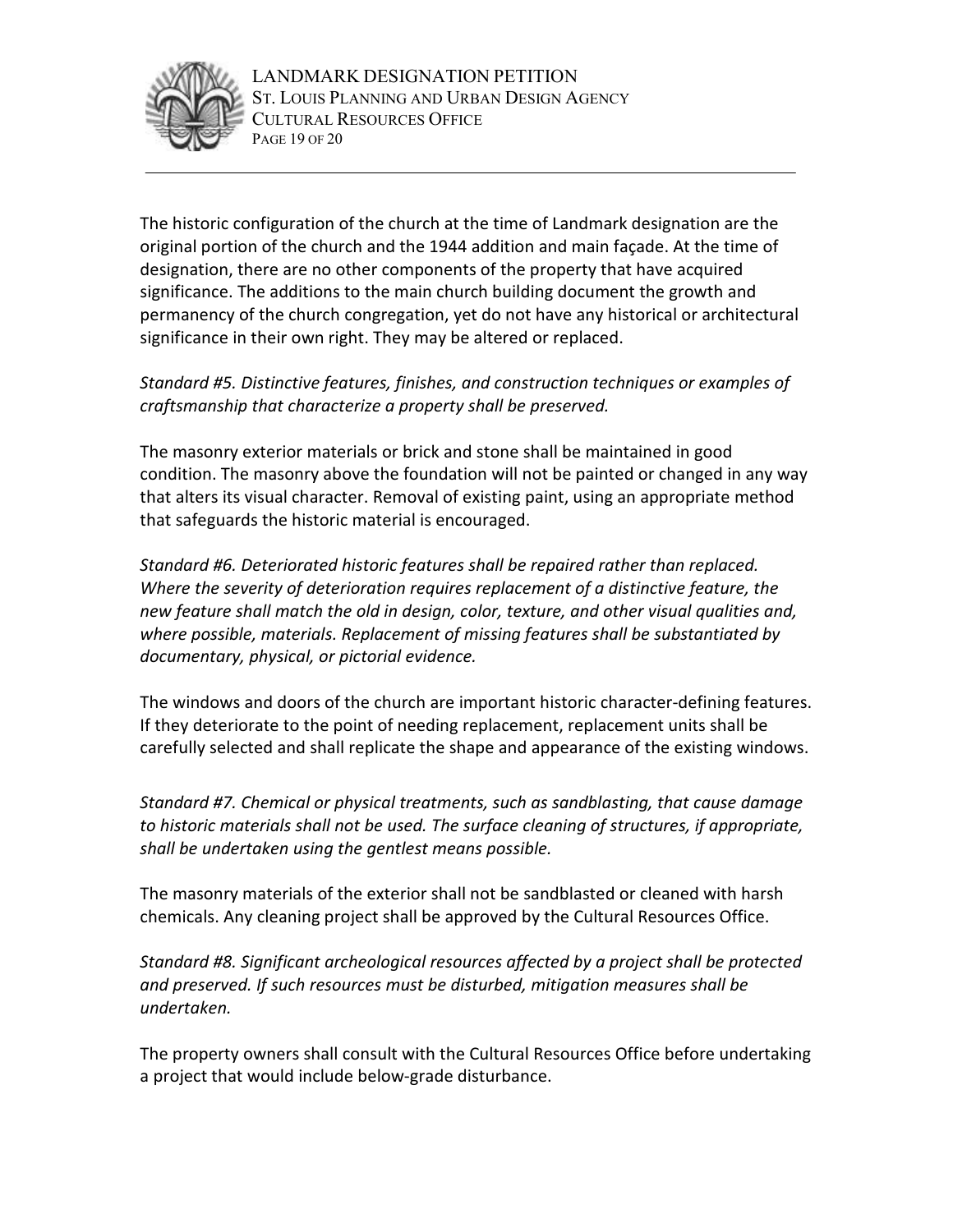

The historic configuration of the church at the time of Landmark designation are the original portion of the church and the 1944 addition and main façade. At the time of designation, there are no other components of the property that have acquired significance. The additions to the main church building document the growth and permanency of the church congregation, yet do not have any historical or architectural significance in their own right. They may be altered or replaced.

*Standard #5. Distinctive features, finishes, and construction techniques or examples of craftsmanship that characterize a property shall be preserved.* 

The masonry exterior materials or brick and stone shall be maintained in good condition. The masonry above the foundation will not be painted or changed in any way that alters its visual character. Removal of existing paint, using an appropriate method that safeguards the historic material is encouraged.

*Standard #6. Deteriorated historic features shall be repaired rather than replaced. Where the severity of deterioration requires replacement of a distinctive feature, the new feature shall match the old in design, color, texture, and other visual qualities and, where possible, materials. Replacement of missing features shall be substantiated by documentary, physical, or pictorial evidence.* 

The windows and doors of the church are important historic character-defining features. If they deteriorate to the point of needing replacement, replacement units shall be carefully selected and shall replicate the shape and appearance of the existing windows.

*Standard #7. Chemical or physical treatments, such as sandblasting, that cause damage to historic materials shall not be used. The surface cleaning of structures, if appropriate, shall be undertaken using the gentlest means possible.* 

The masonry materials of the exterior shall not be sandblasted or cleaned with harsh chemicals. Any cleaning project shall be approved by the Cultural Resources Office.

*Standard #8. Significant archeological resources affected by a project shall be protected and preserved. If such resources must be disturbed, mitigation measures shall be undertaken.* 

The property owners shall consult with the Cultural Resources Office before undertaking a project that would include below-grade disturbance.